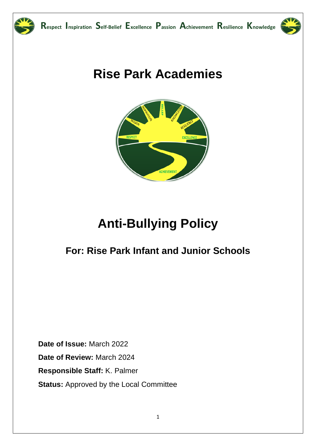

# **Rise Park Academies**



# **Anti-Bullying Policy**

## For: Rise Park Infant and Junior Schools

Date of Issue: March 2022 Date of Review: March 2024 Responsible Staff: K. Palmer **Status: Approved by the Local Committee**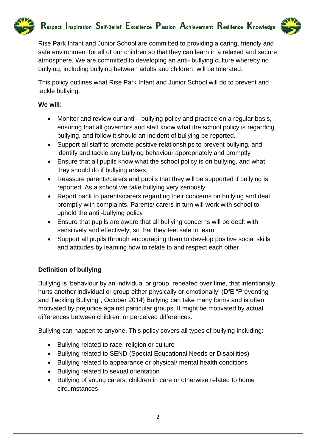

### **Respect Inspiration Self-Belief Excellence Passion Achievement Resilience Knowledge**



Rise Park Infant and Junior School are committed to providing a caring, friendly and safe environment for all of our children so that they can learn in a relaxed and secure atmosphere. We are committed to developing an anti- bullying culture whereby no bullying, including bullying between adults and children, will be tolerated.

This policy outlines what Rise Park Infant and Junior School will do to prevent and tackle bullying.

#### **We will:**

- Monitor and review our anti bullying policy and practice on a regular basis, ensuring that all governors and staff know what the school policy is regarding bullying, and follow it should an incident of bullying be reported.
- Support all staff to promote positive relationships to prevent bullying, and identify and tackle any bullying behaviour appropriately and promptly
- Ensure that all pupils know what the school policy is on bullying, and what they should do if bullying arises
- Reassure parents/carers and pupils that they will be supported if bullying is reported. As a school we take bullying very seriously
- Report back to parents/carers regarding their concerns on bullying and deal promptly with complaints. Parents/ carers in turn will work with school to uphold the anti -bullying policy
- Ensure that pupils are aware that all bullying concerns will be dealt with sensitively and effectively, so that they feel safe to learn
- Support all pupils through encouraging them to develop positive social skills and attitudes by learning how to relate to and respect each other.

#### **Definition of bullying**

Bullying is 'behaviour by an individual or group, repeated over time, that intentionally hurts another individual or group either physically or emotionally' (DfE "Preventing and Tackling Bullying", October 2014) Bullying can take many forms and is often motivated by prejudice against particular groups. It might be motivated by actual differences between children, or perceived differences.

Bullying can happen to anyone. This policy covers all types of bullying including:

- Bullying related to race, religion or culture
- Bullying related to SEND (Special Educational Needs or Disabilities)
- Bullying related to appearance or physical/ mental health conditions
- Bullying related to sexual orientation
- Bullying of young carers, children in care or otherwise related to home circumstances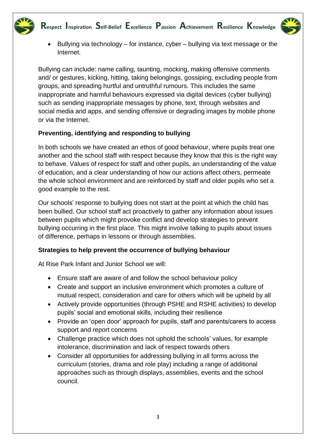

- 
- Bullying via technology for instance, cyber bullying via text message or the Internet.

Bullying can include: name calling, taunting, mocking, making offensive comments and/ or gestures, kicking, hitting, taking belongings, gossiping, excluding people from groups, and spreading hurtful and untruthful rumours. This includes the same inappropriate and harmful behaviours expressed via digital devices (cyber bullying) such as sending inappropriate messages by phone, text, through websites and social media and apps, and sending offensive or degrading images by mobile phone or via the Internet.

#### **Preventing, identifying and responding to bullying**

In both schools we have created an ethos of good behaviour, where pupils treat one another and the school staff with respect because they know that this is the right way to behave. Values of respect for staff and other pupils, an understanding of the value of education, and a clear understanding of how our actions affect others, permeate the whole school environment and are reinforced by staff and older pupils who set a good example to the rest.

Our schools' response to bullying does not start at the point at which the child has been bullied. Our school staff act proactively to gather any information about issues between pupils which might provoke conflict and develop strategies to prevent bullying occurring in the first place. This might involve talking to pupils about issues of difference, perhaps in lessons or through assemblies.

#### **Strategies to help prevent the occurrence of bullying behaviour**

At Rise Park Infant and Junior School we will:

- Ensure staff are aware of and follow the school behaviour policy
- Create and support an inclusive environment which promotes a culture of mutual respect, consideration and care for others which will be upheld by all
- Actively provide opportunities (through PSHE and RSHE activities) to develop pupils' social and emotional skills, including their resilience
- Provide an 'open door' approach for pupils, staff and parents/carers to access support and report concerns
- Challenge practice which does not uphold the schools' values, for example intolerance, discrimination and lack of respect towards others
- Consider all opportunities for addressing bullying in all forms across the curriculum (stories, drama and role play) including a range of additional approaches such as through displays, assemblies, events and the school council.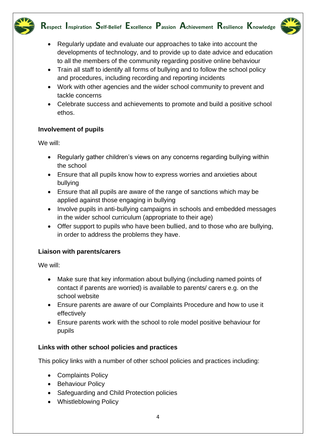

- 
- Regularly update and evaluate our approaches to take into account the developments of technology, and to provide up to date advice and education to all the members of the community regarding positive online behaviour
- Train all staff to identify all forms of bullying and to follow the school policy and procedures, including recording and reporting incidents
- Work with other agencies and the wider school community to prevent and tackle concerns
- Celebrate success and achievements to promote and build a positive school ethos.

#### **Involvement of pupils**

We will:

- Regularly gather children's views on any concerns regarding bullying within the school
- Ensure that all pupils know how to express worries and anxieties about bullying
- Ensure that all pupils are aware of the range of sanctions which may be applied against those engaging in bullying
- Involve pupils in anti-bullying campaigns in schools and embedded messages in the wider school curriculum (appropriate to their age)
- Offer support to pupils who have been bullied, and to those who are bullying, in order to address the problems they have.

#### **Liaison with parents/carers**

We will:

- Make sure that key information about bullying (including named points of contact if parents are worried) is available to parents/ carers e.g. on the school website
- Ensure parents are aware of our Complaints Procedure and how to use it effectively
- Ensure parents work with the school to role model positive behaviour for pupils

#### **Links with other school policies and practices**

This policy links with a number of other school policies and practices including:

- Complaints Policy
- Behaviour Policy
- Safeguarding and Child Protection policies
- Whistleblowing Policy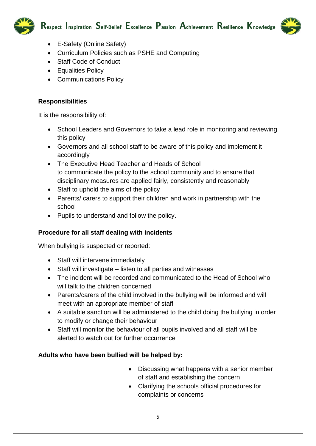



- E-Safety (Online Safety)
- Curriculum Policies such as PSHE and Computing
- Staff Code of Conduct
- Equalities Policy
- Communications Policy

#### **Responsibilities**

It is the responsibility of:

- School Leaders and Governors to take a lead role in monitoring and reviewing this policy
- Governors and all school staff to be aware of this policy and implement it accordingly
- The Executive Head Teacher and Heads of School to communicate the policy to the school community and to ensure that disciplinary measures are applied fairly, consistently and reasonably
- Staff to uphold the aims of the policy
- Parents/ carers to support their children and work in partnership with the school
- Pupils to understand and follow the policy.

#### **Procedure for all staff dealing with incidents**

When bullying is suspected or reported:

- Staff will intervene immediately
- Staff will investigate listen to all parties and witnesses
- The incident will be recorded and communicated to the Head of School who will talk to the children concerned
- Parents/carers of the child involved in the bullying will be informed and will meet with an appropriate member of staff
- A suitable sanction will be administered to the child doing the bullying in order to modify or change their behaviour
- Staff will monitor the behaviour of all pupils involved and all staff will be alerted to watch out for further occurrence

#### **Adults who have been bullied will be helped by:**

- Discussing what happens with a senior member of staff and establishing the concern
- Clarifying the schools official procedures for complaints or concerns